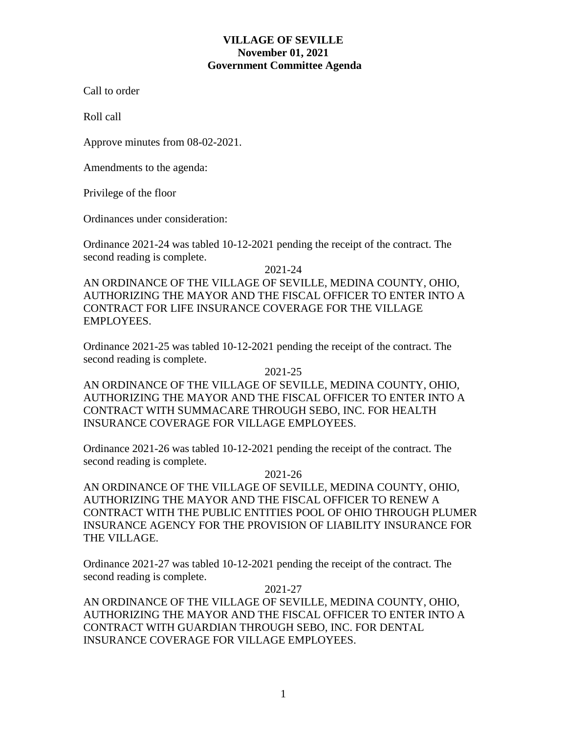# **VILLAGE OF SEVILLE November 01, 2021 Government Committee Agenda**

Call to order

Roll call

Approve minutes from 08-02-2021.

Amendments to the agenda:

Privilege of the floor

Ordinances under consideration:

Ordinance 2021-24 was tabled 10-12-2021 pending the receipt of the contract. The second reading is complete.

2021-24

AN ORDINANCE OF THE VILLAGE OF SEVILLE, MEDINA COUNTY, OHIO, AUTHORIZING THE MAYOR AND THE FISCAL OFFICER TO ENTER INTO A CONTRACT FOR LIFE INSURANCE COVERAGE FOR THE VILLAGE EMPLOYEES.

Ordinance 2021-25 was tabled 10-12-2021 pending the receipt of the contract. The second reading is complete.

2021-25

AN ORDINANCE OF THE VILLAGE OF SEVILLE, MEDINA COUNTY, OHIO, AUTHORIZING THE MAYOR AND THE FISCAL OFFICER TO ENTER INTO A CONTRACT WITH SUMMACARE THROUGH SEBO, INC. FOR HEALTH INSURANCE COVERAGE FOR VILLAGE EMPLOYEES.

Ordinance 2021-26 was tabled 10-12-2021 pending the receipt of the contract. The second reading is complete.

2021-26

AN ORDINANCE OF THE VILLAGE OF SEVILLE, MEDINA COUNTY, OHIO, AUTHORIZING THE MAYOR AND THE FISCAL OFFICER TO RENEW A CONTRACT WITH THE PUBLIC ENTITIES POOL OF OHIO THROUGH PLUMER INSURANCE AGENCY FOR THE PROVISION OF LIABILITY INSURANCE FOR THE VILLAGE.

Ordinance 2021-27 was tabled 10-12-2021 pending the receipt of the contract. The second reading is complete.

2021-27

AN ORDINANCE OF THE VILLAGE OF SEVILLE, MEDINA COUNTY, OHIO, AUTHORIZING THE MAYOR AND THE FISCAL OFFICER TO ENTER INTO A CONTRACT WITH GUARDIAN THROUGH SEBO, INC. FOR DENTAL INSURANCE COVERAGE FOR VILLAGE EMPLOYEES.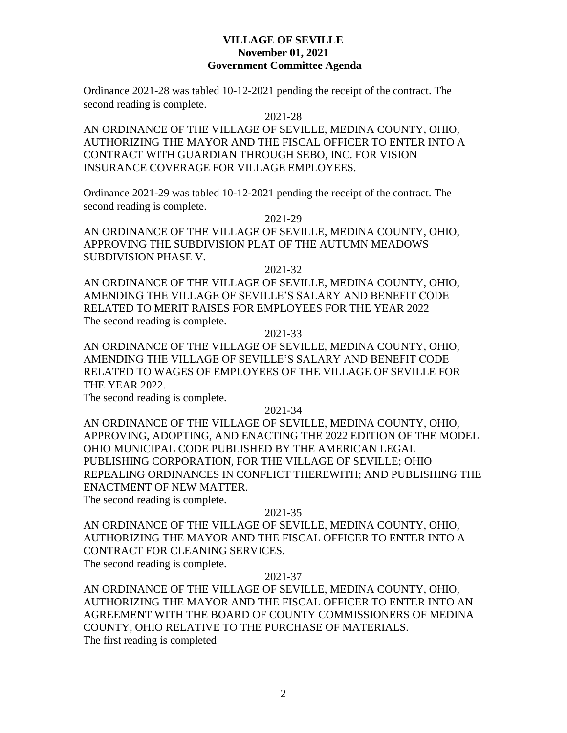# **VILLAGE OF SEVILLE November 01, 2021 Government Committee Agenda**

Ordinance 2021-28 was tabled 10-12-2021 pending the receipt of the contract. The second reading is complete.

2021-28

AN ORDINANCE OF THE VILLAGE OF SEVILLE, MEDINA COUNTY, OHIO, AUTHORIZING THE MAYOR AND THE FISCAL OFFICER TO ENTER INTO A CONTRACT WITH GUARDIAN THROUGH SEBO, INC. FOR VISION INSURANCE COVERAGE FOR VILLAGE EMPLOYEES.

Ordinance 2021-29 was tabled 10-12-2021 pending the receipt of the contract. The second reading is complete.

2021-29

AN ORDINANCE OF THE VILLAGE OF SEVILLE, MEDINA COUNTY, OHIO, APPROVING THE SUBDIVISION PLAT OF THE AUTUMN MEADOWS SUBDIVISION PHASE V.

2021-32

AN ORDINANCE OF THE VILLAGE OF SEVILLE, MEDINA COUNTY, OHIO, AMENDING THE VILLAGE OF SEVILLE'S SALARY AND BENEFIT CODE RELATED TO MERIT RAISES FOR EMPLOYEES FOR THE YEAR 2022 The second reading is complete.

2021-33

AN ORDINANCE OF THE VILLAGE OF SEVILLE, MEDINA COUNTY, OHIO, AMENDING THE VILLAGE OF SEVILLE'S SALARY AND BENEFIT CODE RELATED TO WAGES OF EMPLOYEES OF THE VILLAGE OF SEVILLE FOR THE YEAR 2022.

The second reading is complete.

2021-34

AN ORDINANCE OF THE VILLAGE OF SEVILLE, MEDINA COUNTY, OHIO, APPROVING, ADOPTING, AND ENACTING THE 2022 EDITION OF THE MODEL OHIO MUNICIPAL CODE PUBLISHED BY THE AMERICAN LEGAL PUBLISHING CORPORATION, FOR THE VILLAGE OF SEVILLE; OHIO REPEALING ORDINANCES IN CONFLICT THEREWITH; AND PUBLISHING THE ENACTMENT OF NEW MATTER.

The second reading is complete.

## 2021-35

AN ORDINANCE OF THE VILLAGE OF SEVILLE, MEDINA COUNTY, OHIO, AUTHORIZING THE MAYOR AND THE FISCAL OFFICER TO ENTER INTO A CONTRACT FOR CLEANING SERVICES.

The second reading is complete.

## 2021-37

AN ORDINANCE OF THE VILLAGE OF SEVILLE, MEDINA COUNTY, OHIO, AUTHORIZING THE MAYOR AND THE FISCAL OFFICER TO ENTER INTO AN AGREEMENT WITH THE BOARD OF COUNTY COMMISSIONERS OF MEDINA COUNTY, OHIO RELATIVE TO THE PURCHASE OF MATERIALS. The first reading is completed